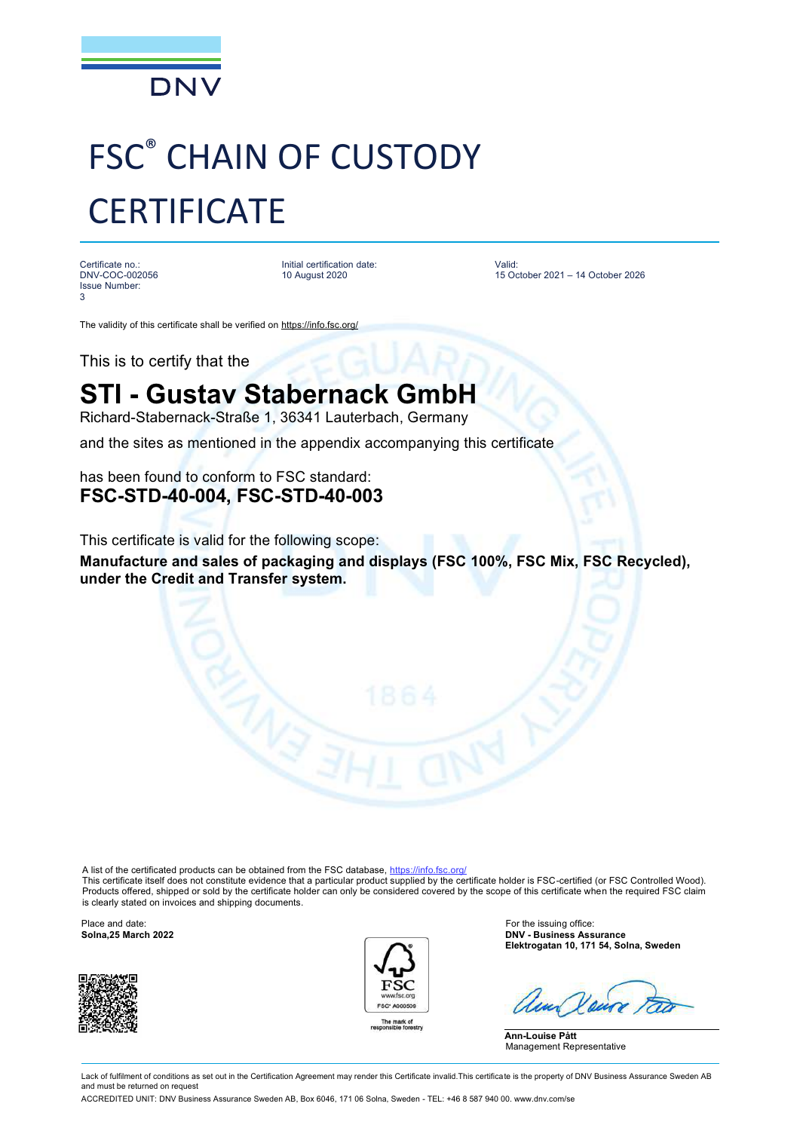

## FSC® CHAIN OF CUSTODY **CERTIFICATE**

Certificate no.: DNV-COC-002056 Issue Number: 3

Initial certification date: 10 August 2020

Valid: 15 October 2021 – 14 October 2026

The validity of this certificate shall be verified on <https://info.fsc.org/>

This is to certify that the

## **STI - Gustav Stabernack GmbH**

Richard-Stabernack-Straße 1, 36341 Lauterbach, Germany

and the sites as mentioned in the appendix accompanying this certificate

has been found to conform to FSC standard: **FSC-STD-40-004, FSC-STD-40-003**

This certificate is valid for the following scope:

**Manufacture and sales of packaging and displays (FSC 100%, FSC Mix, FSC Recycled), under the Credit and Transfer system.**

A list of the certificated products can be obtained from the FSC database,<https://info.fsc.org/>

This certificate itself does not constitute evidence that a particular product supplied by the certificate holder is FSC-certified (or FSC Controlled Wood). Products offered, shipped or sold by the certificate holder can only be considered covered by the scope of this certificate when the required FSC claim is clearly stated on invoices and shipping documents.





Place and date: **For the issuing office: For the issuing office: For the issuing office: Solna,25 March 2022 Solna,25 March 2022 DNV - Business Assurance Elektrogatan 10, 171 54, Solna, Sweden**

**Ann-Louise Pått** Management Representative

Lack of fulfilment of conditions as set out in the Certification Agreement may render this Certificate invalid. This certificate is the property of DNV Business Assurance Sweden AB and must be returned on request

ACCREDITED UNIT: DNV Business Assurance Sweden AB, Box 6046, 171 06 Solna, Sweden - TEL: +46 8 587 940 00. [www.dnv.com/se](http://www.dnv.com/se)